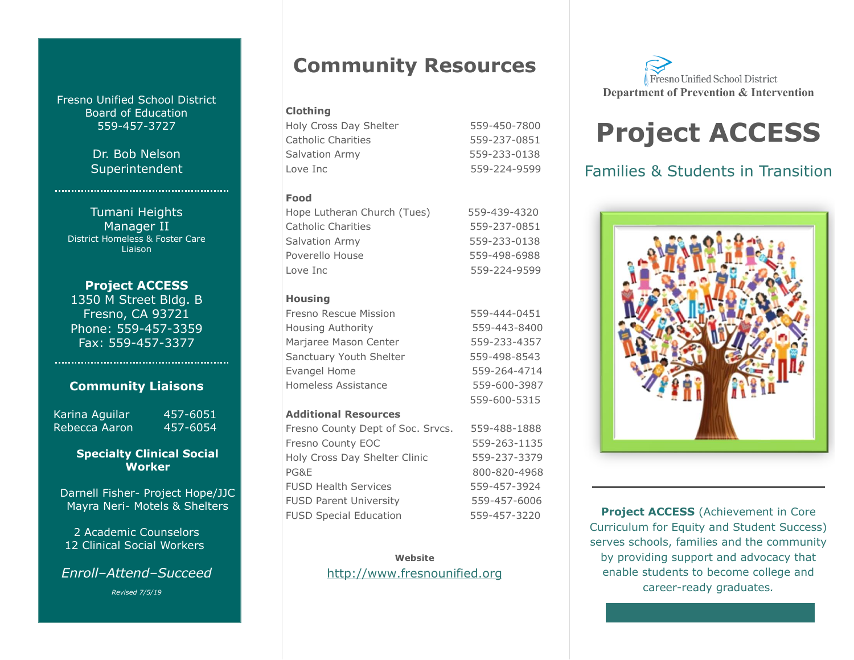Fresno Unified School District Board of Education 559-457-3727

> Dr. Bob Nelson Superintendent

Tumani Heights Manager II District Homeless & Foster Care Liaison

**Project ACCESS** 1350 M Street Bldg. B Fresno, CA 93721 Phone: 559-457-3359 Fax: 559-457-3377

### **Community Liaisons**

Karina Aguilar 457-6051 Rebecca Aaron 457-6054

### **Specialty Clinical Social Worker**

Darnell Fisher- Project Hope/JJC Mayra Neri- Motels & Shelters

2 Academic Counselors 12 Clinical Social Workers

*Enroll–Attend–Succeed*

*Revised 7/5/19*

# **Community Resources**

### **Clothing**

Holy Cross Day Shelter 559-450-7800 Catholic Charities 559-237-0851 Salvation Army 559-233-0138 Love Inc 559-224-9599

### **Food**

| Hope Lutheran Church (Tues) | 559-439-4320 |
|-----------------------------|--------------|
| Catholic Charities          | 559-237-0851 |
| Salvation Army              | 559-233-0138 |
| Poverello House             | 559-498-6988 |
| Love Inc                    | 559-224-9599 |

### **Housing**

| Fresno Rescue Mission    | 559-444-0451 |
|--------------------------|--------------|
| <b>Housing Authority</b> | 559-443-8400 |
| Marjaree Mason Center    | 559-233-4357 |
| Sanctuary Youth Shelter  | 559-498-8543 |
| Evangel Home             | 559-264-4714 |
| Homeless Assistance      | 559-600-3987 |
|                          | 559-600-5315 |

### **Additional Resources**

| Fresno County Dept of Soc. Srvcs. | 559-488-1888 |
|-----------------------------------|--------------|
| Fresno County EOC                 | 559-263-1135 |
| Holy Cross Day Shelter Clinic     | 559-237-3379 |
| PG&E                              | 800-820-4968 |
| <b>FUSD Health Services</b>       | 559-457-3924 |
| <b>FUSD Parent University</b>     | 559-457-6006 |
| <b>FUSD Special Education</b>     | 559-457-3220 |

**Website** [http://www.fresnounified.org](http://www.fresnounified.org/)

Fresno Unified School District **Department of Prevention & Intervention**

# **Project ACCESS**

### Families & Students in Transition



**Project ACCESS** (Achievement in Core Curriculum for Equity and Student Success) serves schools, families and the community by providing support and advocacy that enable students to become college and career-ready graduates*.*